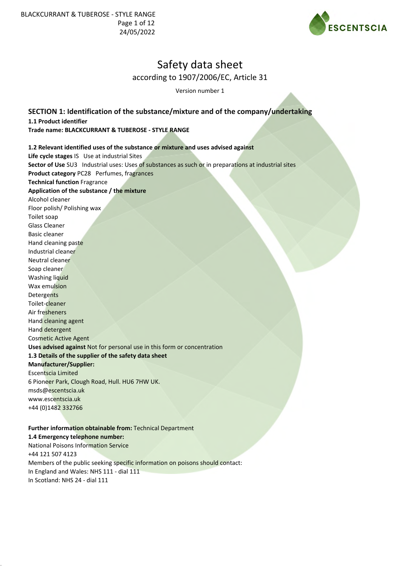

Version number 1

**SECTION 1: Identification of the substance/mixture and of the company/undertaking 1.1 Product identifier Trade name: BLACKCURRANT & TUBEROSE - STYLE RANGE**

## **1.2 Relevant identified uses of the substance or mixture and uses advised against**

**Life cycle stages** IS Use at industrial Sites **Sector of Use** SU3 Industrial uses: Uses of substances as such or in preparations at industrial sites **Product category** PC28 Perfumes, fragrances **Technical function** Fragrance **Application of the substance / the mixture** Alcohol cleaner Floor polish/ Polishing wax Toilet soap Glass Cleaner Basic cleaner Hand cleaning paste Industrial cleaner Neutral cleaner Soap cleaner Washing liquid Wax emulsion **Detergents** Toilet-cleaner Air fresheners Hand cleaning agent Hand detergent Cosmetic Active Agent **Uses advised against** Not for personal use in this form or concentration **1.3 Details of the supplier of the safety data sheet Manufacturer/Supplier:** Escentscia Limited 6 Pioneer Park, Clough Road, Hull. HU6 7HW UK. msds@escentscia.uk www.escentscia.uk +44 (0)1482 332766

## **Further information obtainable from:** Technical Department **1.4 Emergency telephone number:** National Poisons Information Service +44 121 507 4123 Members of the public seeking specific information on poisons should contact: In England and Wales: NHS 111 - dial 111 In Scotland: NHS 24 - dial 111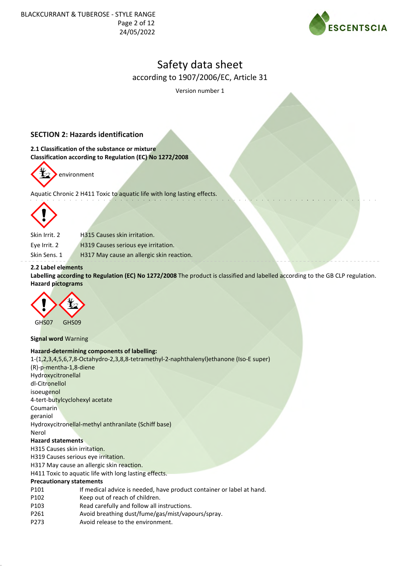

Version number 1

# **SECTION 2: Hazards identification**

**2.1 Classification of the substance or mixture Classification according to Regulation (EC) No 1272/2008**



Aquatic Chronic 2 H411 Toxic to aquatic life with long lasting effects.



Skin Irrit. 2 H315 Causes skin irritation.

Eye Irrit. 2 H319 Causes serious eye irritation.

Skin Sens. 1 H317 May cause an allergic skin reaction.

## **2.2 Label elements**

**Labelling according to Regulation (EC) No 1272/2008** The product is classified and labelled according to the GB CLP regulation. **Hazard pictograms**



**Signal word** Warning

#### **Hazard-determining components of labelling:**

| 1-(1,2,3,4,5,6,7,8-Octahydro-2,3,8,8-tetramethyl-2-naphthalenyl)ethanone (Iso-E super) |
|----------------------------------------------------------------------------------------|
| (R)-p-mentha-1,8-diene                                                                 |
| Hydroxycitronellal                                                                     |
| dl-Citronellol                                                                         |
| isoeugenol                                                                             |
| 4-tert-butylcyclohexyl acetate                                                         |
| Coumarin                                                                               |
| geraniol                                                                               |
| Hydroxycitronellal-methyl anthranilate (Schiff base)                                   |
| Nerol                                                                                  |
| <b>Hazard statements</b>                                                               |
| H315 Causes skin irritation.                                                           |
| H319 Causes serious eye irritation.                                                    |
| H317 May cause an allergic skin reaction.                                              |
| H411 Toxic to aquatic life with long lasting effects.                                  |
| <b>Precautionary statements</b>                                                        |
| If medical advice is needed, have product container or label at hand.<br>P101          |
| P102<br>Keep out of reach of children.                                                 |
| P103<br>Read carefully and follow all instructions.                                    |

- P261 Avoid breathing dust/fume/gas/mist/vapours/spray.
- P273 Avoid release to the environment.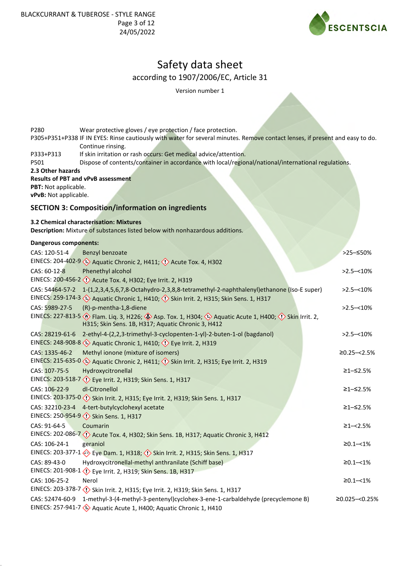

Version number 1

| P280                                          | Wear protective gloves / eye protection / face protection.<br>P305+P351+P338 IF IN EYES: Rinse cautiously with water for several minutes. Remove contact lenses, if present and easy to do.<br>Continue rinsing. |                  |
|-----------------------------------------------|------------------------------------------------------------------------------------------------------------------------------------------------------------------------------------------------------------------|------------------|
| P333+P313<br>P501                             | If skin irritation or rash occurs: Get medical advice/attention.<br>Dispose of contents/container in accordance with local/regional/national/international regulations.                                          |                  |
| 2.3 Other hazards                             | <b>Results of PBT and vPvB assessment</b>                                                                                                                                                                        |                  |
| PBT: Not applicable.<br>vPvB: Not applicable. |                                                                                                                                                                                                                  |                  |
|                                               | <b>SECTION 3: Composition/information on ingredients</b>                                                                                                                                                         |                  |
|                                               | 3.2 Chemical characterisation: Mixtures<br>Description: Mixture of substances listed below with nonhazardous additions.                                                                                          |                  |
| <b>Dangerous components:</b>                  |                                                                                                                                                                                                                  |                  |
| CAS: 120-51-4                                 | Benzyl benzoate                                                                                                                                                                                                  | >25–≤50%         |
|                                               | EINECS: 204-402-9 <>>> Aquatic Chronic 2, H411; << $\langle$ Acute Tox. 4, H302                                                                                                                                  |                  |
| CAS: 60-12-8                                  | Phenethyl alcohol<br>EINECS: 200-456-2 < <a>(<a> Acute Tox. 4, H302; Eye Irrit. 2, H319</a></a>                                                                                                                  | $>2.5 - 10\%$    |
| CAS: 54464-57-2                               | 1-(1,2,3,4,5,6,7,8-Octahydro-2,3,8,8-tetramethyl-2-naphthalenyl)ethanone (Iso-E super)<br>EINECS: 259-174-3 (2) Aquatic Chronic 1, H410; (2) Skin Irrit. 2, H315; Skin Sens. 1, H317                             | $>2.5 - 10\%$    |
| CAS: 5989-27-5                                | (R)-p-mentha-1,8-diene<br>EINECS: 227-813-5 > Flam. Liq. 3, H226; > Asp. Tox. 1, H304; + Aquatic Acute 1, H400; < > Skin Irrit. 2,                                                                               | $>2.5 - 10\%$    |
| CAS: 28219-61-6                               | H315; Skin Sens. 1B, H317; Aquatic Chronic 3, H412<br>2-ethyl-4-(2,2,3-trimethyl-3-cyclopenten-1-yl)-2-buten-1-ol (bagdanol)                                                                                     | $>2.5 - 10\%$    |
|                                               | EINECS: 248-908-8 < <a> Aquatic Chronic 1, H410; &lt;<a> <math>\langle \cdot \rangle</math> Eye Irrit. 2, H319</a></a>                                                                                           |                  |
| CAS: 1335-46-2                                | Methyl ionone (mixture of isomers)                                                                                                                                                                               | $≥0.25 - < 2.5%$ |
|                                               | EINECS: 215-635-0 < <a> Aquatic Chronic 2, H411; &lt;<a> <math>\Diamond</math> Skin Irrit. 2, H315; Eye Irrit. 2, H319</a></a>                                                                                   |                  |
| CAS: 107-75-5                                 | Hydroxycitronellal                                                                                                                                                                                               | ≥1–≤2.5%         |
|                                               | EINECS: 203-518-7 <>> Eye Irrit. 2, H319; Skin Sens. 1, H317                                                                                                                                                     |                  |
| CAS: 106-22-9                                 | dl-Citronellol                                                                                                                                                                                                   | ≥1-≤2.5%         |
| CAS: 32210-23-4                               | EINECS: 203-375-0 << >< >< << >Skin Irrit. 2, H315; Eye Irrit. 2, H319; Skin Sens. 1, H317<br>4-tert-butylcyclohexyl acetate                                                                                     | ≥1-≤2.5%         |
|                                               | EINECS: 250-954-9 (1) Skin Sens. 1, H317                                                                                                                                                                         |                  |
| CAS: 91-64-5                                  | Coumarin                                                                                                                                                                                                         | $\geq$ 1-<2.5%   |
|                                               | EINECS: 202-086-7 < <a> <a> Acute Tox. 4, H302; Skin Sens. 1B, H317; Aquatic Chronic 3, H412</a></a>                                                                                                             |                  |
| CAS: 106-24-1                                 | geraniol<br>EINECS: 203-377-1 > Eye Dam. 1, H318; 1> Skin Irrit. 2, H315; Skin Sens. 1, H317                                                                                                                     | $\geq 0.1 - 1\%$ |
| CAS: 89-43-0                                  | Hydroxycitronellal-methyl anthranilate (Schiff base)                                                                                                                                                             | $\geq 0.1 - 1\%$ |
|                                               | EINECS: 201-908-1 <<(>) Eye Irrit. 2, H319; Skin Sens. 1B, H317                                                                                                                                                  |                  |
| CAS: 106-25-2                                 | Nerol                                                                                                                                                                                                            | $\geq 0.1 - 1\%$ |
|                                               | EINECS: 203-378-7 < <a> <a> Skin 1, H317</a> Skin 2, H319; Skin Sens. 1, H317</a>                                                                                                                                |                  |
| CAS: 52474-60-9                               | 1-methyl-3-(4-methyl-3-pentenyl)cyclohex-3-ene-1-carbaldehyde (precyclemone B)<br>EINECS: 257-941-7 $\leftrightarrow$ Aquatic Acute 1, H400; Aquatic Chronic 1, H410                                             | ≥0.025 -< 0.25%  |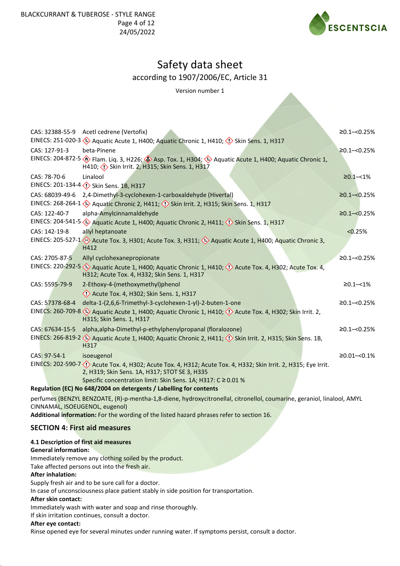

Version number 1

| CAS: 32388-55-9                                        | Acetl cedrene (Vertofix)                                                                                                                                             | $≥0.1 - <0.25%$     |  |  |
|--------------------------------------------------------|----------------------------------------------------------------------------------------------------------------------------------------------------------------------|---------------------|--|--|
|                                                        | EINECS: 251-020-3 $\leftrightarrow$ Aquatic Acute 1, H400; Aquatic Chronic 1, H410; $\leftrightarrow$ Skin Sens. 1, H317                                             |                     |  |  |
| CAS: 127-91-3                                          | beta-Pinene                                                                                                                                                          | $≥0.1 - <0.25%$     |  |  |
|                                                        | EINECS: 204-872-5 > Flam. Liq. 3, H226; > Asp. Tox. 1, H304; > Aquatic Acute 1, H400; Aquatic Chronic 1,<br>H410; <>> Skin Irrit. 2, H315; Skin Sens. 1, H317        |                     |  |  |
| CAS: 78-70-6                                           | Linalool                                                                                                                                                             | $\geq 0.1 - 1\%$    |  |  |
|                                                        | EINECS: 201-134-4 <>> <>> Skin Sens. 1B, H317                                                                                                                        |                     |  |  |
| CAS: 68039-49-6                                        | 2,4-Dimethyl-3-cyclohexen-1-carboxaldehyde (Hivertal)                                                                                                                | $≥0.1 - <0.25%$     |  |  |
|                                                        | EINECS: 268-264-1 < <a> Aquatic Chronic 2, H411; <a> <a> <a> Skin Irrit. 2, H315; Skin Sens. 1, H317</a></a></a></a>                                                 |                     |  |  |
| CAS: 122-40-7                                          | alpha-Amylcinnamaldehyde                                                                                                                                             | $≥0.1 - <0.25%$     |  |  |
|                                                        | EINECS: 204-541-5 $\leftrightarrow$ Aquatic Acute 1, H400; Aquatic Chronic 2, H411; $\leftrightarrow$ Skin Sens. 1, H317                                             |                     |  |  |
| CAS: 142-19-8                                          | allyl heptanoate                                                                                                                                                     | < 0.25%             |  |  |
|                                                        | EINECS: 205-527-1 $\leftrightarrow$ Acute Tox. 3, H301; Acute Tox. 3, H311; $\leftrightarrow$ Aquatic Acute 1, H400; Aquatic Chronic 3,<br>H412                      |                     |  |  |
| CAS: 2705-87-5                                         | Allyl cyclohexanepropionate                                                                                                                                          | $≥0.1 - <0.25%$     |  |  |
|                                                        | EINECS: 220-292-5 (2) Aquatic Acute 1, H400; Aquatic Chronic 1, H410; (1) Acute Tox. 4, H302; Acute Tox. 4,<br>H312; Acute Tox. 4, H332; Skin Sens. 1, H317          |                     |  |  |
| CAS: 5595-79-9                                         | 2-Ethoxy-4-(methoxymethyl)phenol                                                                                                                                     | $\geq 0.1 - 1\%$    |  |  |
|                                                        | Acute Tox. 4, H302; Skin Sens. 1, H317                                                                                                                               |                     |  |  |
| CAS: 57378-68-4                                        | delta-1-(2,6,6-Trimethyl-3-cyclohexen-1-yl)-2-buten-1-one                                                                                                            | $≥0.1 - <0.25%$     |  |  |
|                                                        | EINECS: 260-709-8 $\leftrightarrow$ Aquatic Acute 1, H400; Aquatic Chronic 1, H410; $\leftrightarrow$ Acute Tox. 4, H302; Skin Irrit. 2,<br>H315; Skin Sens. 1, H317 |                     |  |  |
| CAS: 67634-15-5                                        | alpha, alpha-Dimethyl-p-ethylphenylpropanal (floralozone)                                                                                                            | $≥0.1 - <0.25%$     |  |  |
|                                                        | EINECS: 266-819-2 $\leftrightarrow$ Aquatic Acute 1, H400; Aquatic Chronic 2, H411; $\leftrightarrow$ Skin Irrit. 2, H315; Skin Sens. 1B,<br>H317                    |                     |  |  |
| CAS: 97-54-1                                           | isoeugenol                                                                                                                                                           | $\geq 0.01 - 0.1\%$ |  |  |
|                                                        | EINECS: 202-590-7 <>>> Acute Tox. 4, H302; Acute Tox. 4, H312; Acute Tox. 4, H332; Skin Irrit. 2, H315; Eye Irrit.<br>2, H319; Skin Sens. 1A, H317; STOT SE 3, H335  |                     |  |  |
|                                                        | Specific concentration limit: Skin Sens. 1A; H317: C ≥ 0.01 %                                                                                                        |                     |  |  |
|                                                        | Regulation (EC) No 648/2004 on detergents / Labelling for contents                                                                                                   |                     |  |  |
| CINNAMAL, ISOEUGENOL, eugenol)                         | perfumes (BENZYL BENZOATE, (R)-p-mentha-1,8-diene, hydroxycitronellal, citronellol, coumarine, geraniol, linalool, AMYL                                              |                     |  |  |
|                                                        | Additional information: For the wording of the listed hazard phrases refer to section 16.                                                                            |                     |  |  |
|                                                        | <b>SECTION 4: First aid measures</b>                                                                                                                                 |                     |  |  |
|                                                        | 4.1 Description of first aid measures                                                                                                                                |                     |  |  |
| <b>General information:</b>                            |                                                                                                                                                                      |                     |  |  |
| Immediately remove any clothing soiled by the product. |                                                                                                                                                                      |                     |  |  |
|                                                        | Take affected persons out into the fresh air.                                                                                                                        |                     |  |  |
| <b>After inhalation:</b>                               | Supply fresh air and to be sure call for a doctor.                                                                                                                   |                     |  |  |
|                                                        |                                                                                                                                                                      |                     |  |  |

In case of unconsciousness place patient stably in side position for transportation.

## **After skin contact:**

Immediately wash with water and soap and rinse thoroughly.

If skin irritation continues, consult a doctor.

#### **After eye contact:**

Rinse opened eye for several minutes under running water. If symptoms persist, consult a doctor.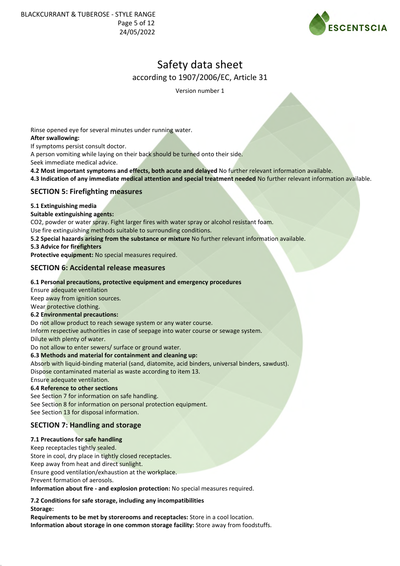BLACKCURRANT & TUBEROSE - STYLE RANGE Page 5 of 12 24/05/2022



# Safety data sheet according to 1907/2006/EC, Article 31

Version number 1

Rinse opened eye for several minutes under running water. **After swallowing:** If symptoms persist consult doctor. A person vomiting while laying on their back should be turned onto their side. Seek immediate medical advice. **4.2 Most important symptoms and effects, both acute and delayed** No further relevant information available. **4.3 Indication of any immediate medical attention and special treatment needed** No further relevant information available. **SECTION 5: Firefighting measures 5.1 Extinguishing media Suitable extinguishing agents:** CO2, powder or water spray. Fight larger fires with water spray or alcohol resistant foam. Use fire extinguishing methods suitable to surrounding conditions. **5.2 Special hazards arising from the substance or mixture** No further relevant information available. **5.3 Advice for firefighters Protective equipment:** No special measures required. **SECTION 6: Accidental release measures 6.1 Personal precautions, protective equipment and emergency procedures** Ensure adequate ventilation Keep away from ignition sources. Wear protective clothing. **6.2 Environmental precautions:** Do not allow product to reach sewage system or any water course. Inform respective authorities in case of seepage into water course or sewage system. Dilute with plenty of water. Do not allow to enter sewers/ surface or ground water. **6.3 Methods and material for containment and cleaning up:** Absorb with liquid-binding material (sand, diatomite, acid binders, universal binders, sawdust). Dispose contaminated material as waste according to item 13. Ensure adequate ventilation. **6.4 Reference to other sections** See Section 7 for information on safe handling. See Section 8 for information on personal protection equipment. See Section 13 for disposal information. **SECTION 7: Handling and storage 7.1 Precautions for safe handling** Keep receptacles tightly sealed. Store in cool, dry place in tightly closed receptacles. Keep away from heat and direct sunlight. Ensure good ventilation/exhaustion at the workplace. Prevent formation of aerosols.

**Information about fire - and explosion protection:** No special measures required.

**7.2 Conditions for safe storage, including any incompatibilities Storage:**

**Requirements to be met by storerooms and receptacles:** Store in a cool location. **Information about storage in one common storage facility:** Store away from foodstuffs.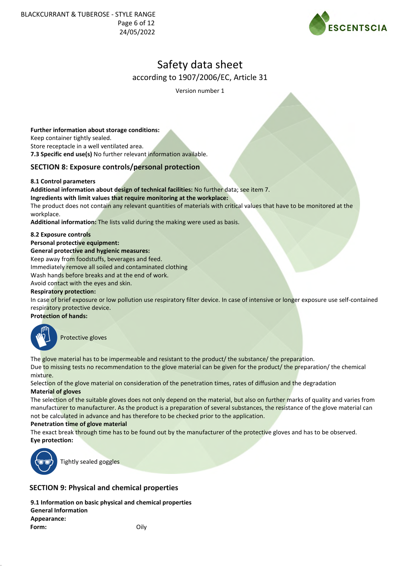BLACKCURRANT & TUBEROSE - STYLE RANGE Page 6 of 12 24/05/2022



# Safety data sheet according to 1907/2006/EC, Article 31

Version number 1

#### **Further information about storage conditions:**

Keep container tightly sealed.

Store receptacle in a well ventilated area.

**7.3 Specific end use(s)** No further relevant information available.

## **SECTION 8: Exposure controls/personal protection**

#### **8.1 Control parameters**

**Additional information about design of technical facilities:** No further data; see item 7.

**Ingredients with limit values that require monitoring at the workplace:**

The product does not contain any relevant quantities of materials with critical values that have to be monitored at the workplace.

**Additional information:** The lists valid during the making were used as basis.

#### **8.2 Exposure controls**

**Personal protective equipment:**

#### **General protective and hygienic measures:**

Keep away from foodstuffs, beverages and feed.

Immediately remove all soiled and contaminated clothing

Wash hands before breaks and at the end of work.

Avoid contact with the eyes and skin.

#### **Respiratory protection:**

In case of brief exposure or low pollution use respiratory filter device. In case of intensive or longer exposure use self-contained respiratory protective device.

## **Protection of hands:**



Protective gloves

The glove material has to be impermeable and resistant to the product/ the substance/ the preparation.

## Due to missing tests no recommendation to the glove material can be given for the product/ the preparation/ the chemical mixture.

Selection of the glove material on consideration of the penetration times, rates of diffusion and the degradation **Material of gloves**

The selection of the suitable gloves does not only depend on the material, but also on further marks of quality and varies from manufacturer to manufacturer. As the product is a preparation of several substances, the resistance of the glove material can not be calculated in advance and has therefore to be checked prior to the application.

#### **Penetration time of glove material**

The exact break through time has to be found out by the manufacturer of the protective gloves and has to be observed. **Eye protection:**



Tightly sealed goggles

# **SECTION 9: Physical and chemical properties**

**9.1 Information on basic physical and chemical properties General Information Appearance: Form:** Oily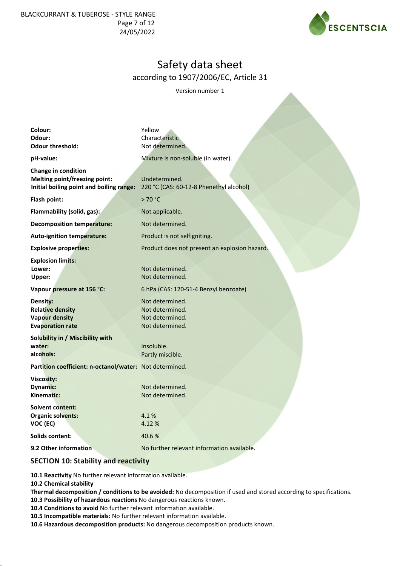BLACKCURRANT & TUBEROSE - STYLE RANGE Page 7 of 12 24/05/2022



# Safety data sheet according to 1907/2006/EC, Article 31

Version number 1

| Colour:<br>Odour:<br><b>Odour threshold:</b>                                                            | Yellow<br>Characteristic<br>Not determined.                              |  |  |
|---------------------------------------------------------------------------------------------------------|--------------------------------------------------------------------------|--|--|
| pH-value:                                                                                               | Mixture is non-soluble (in water).                                       |  |  |
| Change in condition<br><b>Melting point/freezing point:</b><br>Initial boiling point and boiling range: | Undetermined.<br>220 °C (CAS: 60-12-8 Phenethyl alcohol)                 |  |  |
| Flash point:                                                                                            | >70 °C                                                                   |  |  |
| Flammability (solid, gas):                                                                              | Not applicable.                                                          |  |  |
| <b>Decomposition temperature:</b>                                                                       | Not determined.                                                          |  |  |
| <b>Auto-ignition temperature:</b>                                                                       | Product is not selfigniting.                                             |  |  |
| <b>Explosive properties:</b>                                                                            | Product does not present an explosion hazard.                            |  |  |
| <b>Explosion limits:</b><br>Lower:<br>Upper:                                                            | Not determined.<br>Not determined.                                       |  |  |
| Vapour pressure at 156 °C:                                                                              | 6 hPa (CAS: 120-51-4 Benzyl benzoate)                                    |  |  |
| Density:<br><b>Relative density</b><br><b>Vapour density</b><br><b>Evaporation rate</b>                 | Not determined.<br>Not determined.<br>Not determined.<br>Not determined. |  |  |
| Solubility in / Miscibility with<br>water:<br>alcohols:                                                 | Insoluble.<br>Partly miscible.                                           |  |  |
| Partition coefficient: n-octanol/water: Not determined.                                                 |                                                                          |  |  |
| <b>Viscosity:</b><br><b>Dynamic:</b><br>Kinematic:                                                      | Not determined.<br>Not determined.                                       |  |  |
| <b>Solvent content:</b><br><b>Organic solvents:</b><br>VOC (EC)                                         | 4.1%<br>4.12%                                                            |  |  |
| Solids content:                                                                                         | 40.6%                                                                    |  |  |
| 9.2 Other information                                                                                   | No further relevant information available.                               |  |  |
|                                                                                                         |                                                                          |  |  |

## **SECTION 10: Stability and reactivity**

**10.1 Reactivity** No further relevant information available.

**10.2 Chemical stability**

**Thermal decomposition / conditions to be avoided:** No decomposition if used and stored according to specifications.

**10.3 Possibility of hazardous reactions** No dangerous reactions known.

**10.4 Conditions to avoid** No further relevant information available.

**10.5 Incompatible materials:** No further relevant information available.

**10.6 Hazardous decomposition products:** No dangerous decomposition products known.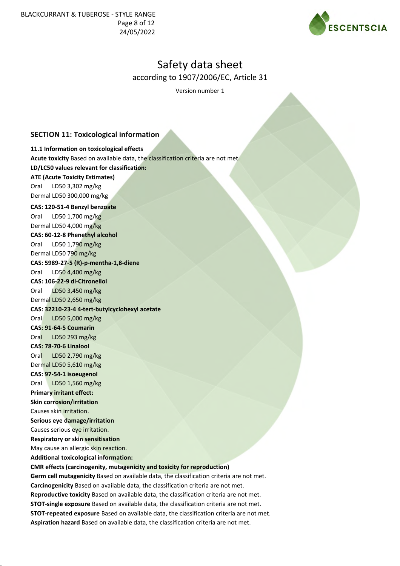BLACKCURRANT & TUBEROSE - STYLE RANGE Page 8 of 12 24/05/2022



# Safety data sheet according to 1907/2006/EC, Article 31

Version number 1

# **SECTION 11: Toxicological information**

## **11.1 Information on toxicological effects**

Causes skin irritation.

**Serious eye damage/irritation** Causes serious eye irritation. **Respiratory or skin sensitisation** May cause an allergic skin reaction. **Additional toxicological information:**

**Acute toxicity** Based on available data, the classification criteria are not met. **LD/LC50 values relevant for classification: ATE (Acute Toxicity Estimates)** Oral LD50 3,302 mg/kg Dermal LD50 300,000 mg/kg **CAS: 120-51-4 Benzyl benzoate** Oral LD50 1,700 mg/kg Dermal LD50 4,000 mg/kg **CAS: 60-12-8 Phenethyl alcohol** Oral LD50 1,790 mg/kg Dermal LD50 790 mg/kg **CAS: 5989-27-5 (R)-p-mentha-1,8-diene** Oral LD50 4,400 mg/kg **CAS: 106-22-9 dl-Citronellol** Oral LD50 3,450 mg/kg Dermal LD50 2,650 mg/kg **CAS: 32210-23-4 4-tert-butylcyclohexyl acetate** Oral LD50 5,000 mg/kg **CAS: 91-64-5 Coumarin** Oral LD50 293 mg/kg **CAS: 78-70-6 Linalool** Oral LD50 2,790 mg/kg Dermal LD50 5,610 mg/kg **CAS: 97-54-1 isoeugenol** Oral LD50 1,560 mg/kg **Primary irritant effect: Skin corrosion/irritation**

**CMR effects (carcinogenity, mutagenicity and toxicity for reproduction)**

**Carcinogenicity** Based on available data, the classification criteria are not met. **Reproductive toxicity** Based on available data, the classification criteria are not met. **STOT-single exposure** Based on available data, the classification criteria are not met. **STOT-repeated exposure** Based on available data, the classification criteria are not met.

**Aspiration hazard** Based on available data, the classification criteria are not met.

**Germ cell mutagenicity** Based on available data, the classification criteria are not met.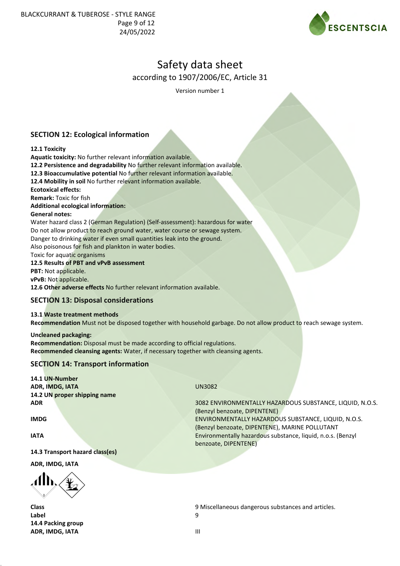

Version number 1

# **SECTION 12: Ecological information**

#### **12.1 Toxicity**

**Aquatic toxicity:** No further relevant information available.

**12.2 Persistence and degradability** No further relevant information available.

**12.3 Bioaccumulative potential** No further relevant information available.

**12.4 Mobility in soil** No further relevant information available.

**Ecotoxical effects:**

**Remark:** Toxic for fish

# **Additional ecological information:**

#### **General notes:**

Water hazard class 2 (German Regulation) (Self-assessment): hazardous for water Do not allow product to reach ground water, water course or sewage system. Danger to drinking water if even small quantities leak into the ground. Also poisonous for fish and plankton in water bodies.

Toxic for aquatic organisms

**12.5 Results of PBT and vPvB assessment**

**PBT:** Not applicable.

**vPvB:** Not applicable.

**12.6 Other adverse effects** No further relevant information available.

# **SECTION 13: Disposal considerations**

#### **13.1 Waste treatment methods**

**Recommendation** Must not be disposed together with household garbage. Do not allow product to reach sewage system.

**Uncleaned packaging: Recommendation:** Disposal must be made according to official regulations. **Recommended cleansing agents:** Water, if necessary together with cleansing agents.

# **SECTION 14: Transport information**

**14.1 UN-Number ADR, IMDG, IATA** UN3082 **14.2 UN proper shipping name**

**14.3 Transport hazard class(es)**

**ADR, IMDG, IATA**

 $\langle \mathbf{d} \mathbf{h} \rangle$ 

**Label** 9 **14.4 Packing group ADR, IMDG, IATA** III

**ADR** 3082 ENVIRONMENTALLY HAZARDOUS SUBSTANCE, LIQUID, N.O.S. (Benzyl benzoate, DIPENTENE) **IMDG** ENVIRONMENTALLY HAZARDOUS SUBSTANCE, LIQUID, N.O.S. (Benzyl benzoate, DIPENTENE), MARINE POLLUTANT **IATA** Environmentally hazardous substance, liquid, n.o.s. (Benzyl benzoate, DIPENTENE)

**Class** 9 Miscellaneous dangerous substances and articles.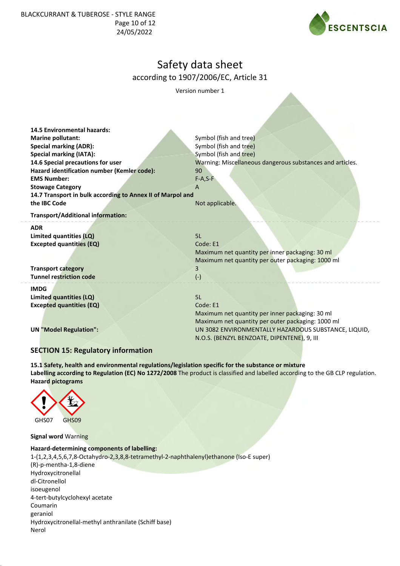BLACKCURRANT & TUBEROSE - STYLE RANGE Page 10 of 12 24/05/2022



# Safety data sheet according to 1907/2006/EC, Article 31

Version number 1

| <b>14.5 Environmental hazards:</b>                         |                                                           |  |  |  |  |
|------------------------------------------------------------|-----------------------------------------------------------|--|--|--|--|
| <b>Marine pollutant:</b>                                   | Symbol (fish and tree)                                    |  |  |  |  |
| <b>Special marking (ADR):</b>                              | Symbol (fish and tree)                                    |  |  |  |  |
| <b>Special marking (IATA):</b>                             | Symbol (fish and tree)                                    |  |  |  |  |
| 14.6 Special precautions for user                          | Warning: Miscellaneous dangerous substances and articles. |  |  |  |  |
| Hazard identification number (Kemler code):                | 90                                                        |  |  |  |  |
| <b>EMS Number:</b>                                         | $F-A, S-F$                                                |  |  |  |  |
| <b>Stowage Category</b>                                    | $\overline{A}$                                            |  |  |  |  |
| 14.7 Transport in bulk according to Annex II of Marpol and |                                                           |  |  |  |  |
| the IBC Code                                               | Not applicable.                                           |  |  |  |  |
| Transport/Additional information:                          |                                                           |  |  |  |  |
| <b>ADR</b>                                                 |                                                           |  |  |  |  |
| Limited quantities (LQ)                                    | 5L                                                        |  |  |  |  |
| <b>Excepted quantities (EQ)</b>                            | Code: E1                                                  |  |  |  |  |
|                                                            | Maximum net quantity per inner packaging: 30 ml           |  |  |  |  |
|                                                            | Maximum net quantity per outer packaging: 1000 ml         |  |  |  |  |
| <b>Transport category</b>                                  | 3                                                         |  |  |  |  |
| <b>Tunnel restriction code</b>                             | $(-)$                                                     |  |  |  |  |
| <b>IMDG</b>                                                |                                                           |  |  |  |  |
| Limited quantities (LQ)                                    | 5L                                                        |  |  |  |  |
| <b>Excepted quantities (EQ)</b>                            | Code: E1                                                  |  |  |  |  |
|                                                            | Maximum net quantity per inner packaging: 30 ml           |  |  |  |  |
|                                                            | Maximum net quantity per outer packaging: 1000 ml         |  |  |  |  |
| <b>UN "Model Regulation":</b>                              | UN 3082 ENVIRONMENTALLY HAZARDOUS SUBSTANCE, LIQUID,      |  |  |  |  |
|                                                            | N.O.S. (BENZYL BENZOATE, DIPENTENE), 9, III               |  |  |  |  |
| $C$ E $C$ TI $O$ NI 4 E. Deculatem:                        |                                                           |  |  |  |  |

# **SECTION 15: Regulatory information**

**15.1 Safety, health and environmental regulations/legislation specific for the substance or mixture Labelling according to Regulation (EC) No 1272/2008** The product is classified and labelled according to the GB CLP regulation. **Hazard pictograms**



**Signal word** Warning

#### **Hazard-determining components of labelling:**

1-(1,2,3,4,5,6,7,8-Octahydro-2,3,8,8-tetramethyl-2-naphthalenyl)ethanone (Iso-E super) (R)-p-mentha-1,8-diene Hydroxycitronellal dl-Citronellol isoeugenol 4-tert-butylcyclohexyl acetate Coumarin geraniol Hydroxycitronellal-methyl anthranilate (Schiff base) Nerol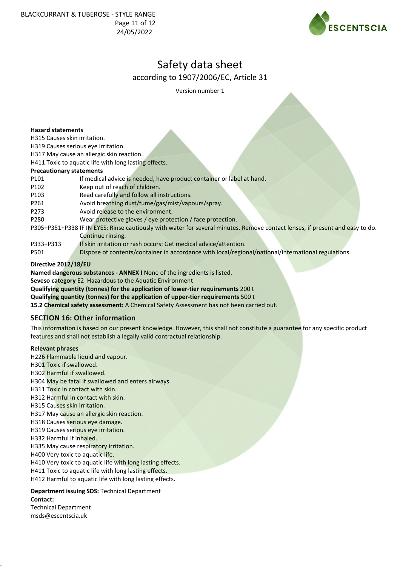BLACKCURRANT & TUBEROSE - STYLE RANGE Page 11 of 12 24/05/2022



# Safety data sheet according to 1907/2006/EC, Article 31

Version number 1

#### **Hazard statements**

H315 Causes skin irritation.

H319 Causes serious eye irritation.

H317 May cause an allergic skin reaction.

H411 Toxic to aquatic life with long lasting effects.

#### **Precautionary statements**

- P101 If medical advice is needed, have product container or label at hand.
- P102 Keep out of reach of children.
- P103 Read carefully and follow all instructions.
- P261 Avoid breathing dust/fume/gas/mist/vapours/spray.
- P273 Avoid release to the environment.
- P280 Wear protective gloves / eye protection / face protection.
- P305+P351+P338 IF IN EYES: Rinse cautiously with water for several minutes. Remove contact lenses, if present and easy to do. Continue rinsing.
- P333+P313 If skin irritation or rash occurs: Get medical advice/attention.
- P501 Dispose of contents/container in accordance with local/regional/national/international regulations.

## **Directive 2012/18/EU**

**Named dangerous substances - ANNEX I** None of the ingredients is listed.

**Seveso category** E2 Hazardous to the Aquatic Environment

**Qualifying quantity (tonnes) for the application of lower-tier requirements** 200 t

**Qualifying quantity (tonnes) for the application of upper-tier requirements** 500 t

**15.2 Chemical safety assessment:** A Chemical Safety Assessment has not been carried out.

# **SECTION 16: Other information**

This information is based on our present knowledge. However, this shall not constitute a guarantee for any specific product features and shall not establish a legally valid contractual relationship.

#### **Relevant phrases**

H226 Flammable liquid and vapour.

H301 Toxic if swallowed.

H302 Harmful if swallowed.

H304 May be fatal if swallowed and enters airways.

H311 Toxic in contact with skin.

- H312 Harmful in contact with skin.
- H315 Causes skin irritation.

H317 May cause an allergic skin reaction.

H318 Causes serious eye damage.

H319 Causes serious eye irritation.

H332 Harmful if inhaled.

H335 May cause respiratory irritation.

H400 Very toxic to aquatic life.

H410 Very toxic to aquatic life with long lasting effects.

H411 Toxic to aquatic life with long lasting effects.

H412 Harmful to aquatic life with long lasting effects.

**Department issuing SDS:** Technical Department **Contact:**

Technical Department msds@escentscia.uk